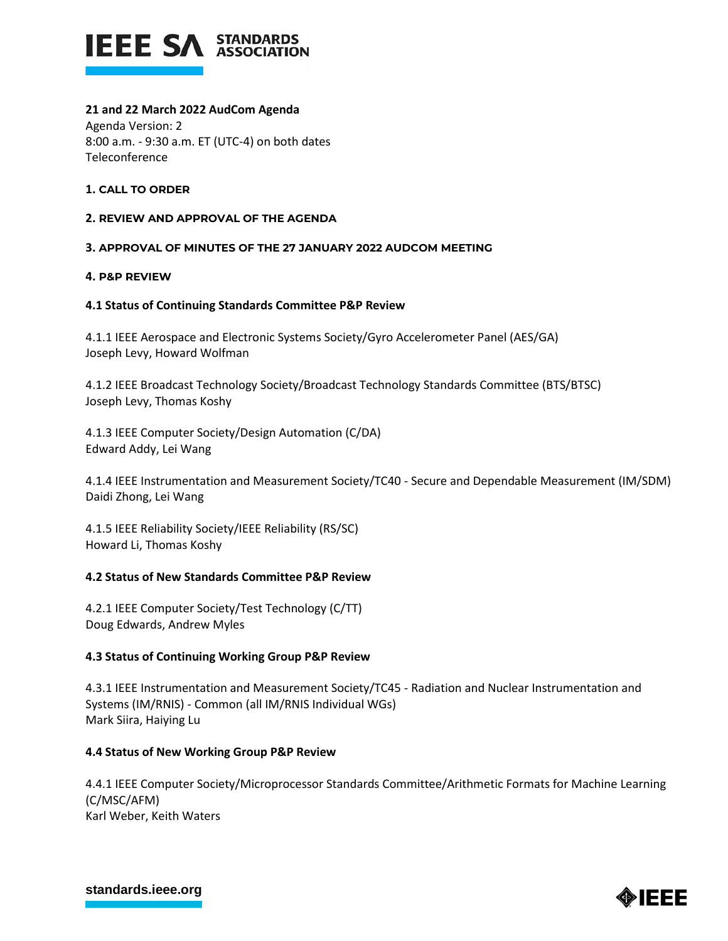

# **21 and 22 March 2022 AudCom Agenda**

Agenda Version: 2 8:00 a.m. - 9:30 a.m. ET (UTC-4) on both dates **Teleconference** 

## **1. CALL TO ORDER**

#### **2. REVIEW AND APPROVAL OF THE AGENDA**

## **3. APPROVAL OF MINUTES OF THE 27 JANUARY 2022 AUDCOM MEETING**

#### **4. P&P REVIEW**

#### **4.1 Status of Continuing Standards Committee P&P Review**

4.1.1 IEEE Aerospace and Electronic Systems Society/Gyro Accelerometer Panel (AES/GA) Joseph Levy, Howard Wolfman

4.1.2 IEEE Broadcast Technology Society/Broadcast Technology Standards Committee (BTS/BTSC) Joseph Levy, Thomas Koshy

4.1.3 IEEE Computer Society/Design Automation (C/DA) Edward Addy, Lei Wang

4.1.4 IEEE Instrumentation and Measurement Society/TC40 - Secure and Dependable Measurement (IM/SDM) Daidi Zhong, Lei Wang

4.1.5 IEEE Reliability Society/IEEE Reliability (RS/SC) Howard Li, Thomas Koshy

## **4.2 Status of New Standards Committee P&P Review**

4.2.1 IEEE Computer Society/Test Technology (C/TT) Doug Edwards, Andrew Myles

## **4.3 Status of Continuing Working Group P&P Review**

4.3.1 IEEE Instrumentation and Measurement Society/TC45 - Radiation and Nuclear Instrumentation and Systems (IM/RNIS) - Common (all IM/RNIS Individual WGs) Mark Siira, Haiying Lu

## **4.4 Status of New Working Group P&P Review**

4.4.1 IEEE Computer Society/Microprocessor Standards Committee/Arithmetic Formats for Machine Learning (C/MSC/AFM) Karl Weber, Keith Waters

**[standards.ieee.org](http://standards.ieee.org/)**